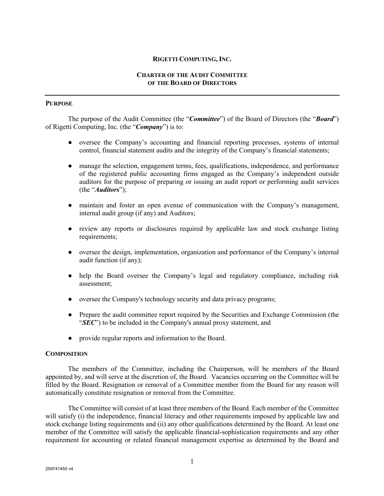### **RIGETTI COMPUTING, INC.**

## **CHARTER OF THE AUDIT COMMITTEE OF THE BOARD OF DIRECTORS**

## **PURPOSE**

The purpose of the Audit Committee (the "*Committee*") of the Board of Directors (the "*Board*") of Rigetti Computing, Inc. (the "*Company*") is to:

- oversee the Company's accounting and financial reporting processes, systems of internal control, financial statement audits and the integrity of the Company's financial statements;
- manage the selection, engagement terms, fees, qualifications, independence, and performance of the registered public accounting firms engaged as the Company's independent outside auditors for the purpose of preparing or issuing an audit report or performing audit services (the "*Auditors*");
- maintain and foster an open avenue of communication with the Company's management, internal audit group (if any) and Auditors;
- review any reports or disclosures required by applicable law and stock exchange listing requirements;
- oversee the design, implementation, organization and performance of the Company's internal audit function (if any);
- help the Board oversee the Company's legal and regulatory compliance, including risk assessment;
- oversee the Company's technology security and data privacy programs;
- Prepare the audit committee report required by the Securities and Exchange Commission (the "*SEC*") to be included in the Company's annual proxy statement, and
- provide regular reports and information to the Board.

### **COMPOSITION**

The members of the Committee, including the Chairperson, will be members of the Board appointed by, and will serve at the discretion of, the Board. Vacancies occurring on the Committee will be filled by the Board. Resignation or removal of a Committee member from the Board for any reason will automatically constitute resignation or removal from the Committee.

The Committee will consist of at least three members of the Board. Each member of the Committee will satisfy (i) the independence, financial literacy and other requirements imposed by applicable law and stock exchange listing requirements and (ii) any other qualifications determined by the Board. At least one member of the Committee will satisfy the applicable financial-sophistication requirements and any other requirement for accounting or related financial management expertise as determined by the Board and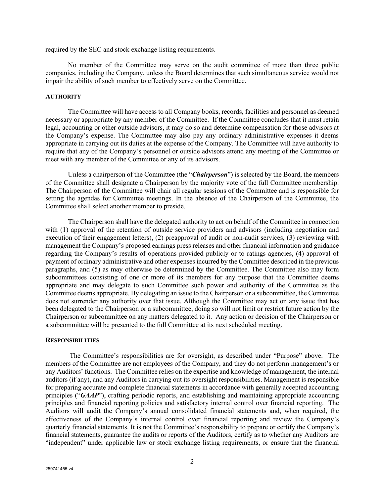required by the SEC and stock exchange listing requirements.

No member of the Committee may serve on the audit committee of more than three public companies, including the Company, unless the Board determines that such simultaneous service would not impair the ability of such member to effectively serve on the Committee.

# **AUTHORITY**

The Committee will have access to all Company books, records, facilities and personnel as deemed necessary or appropriate by any member of the Committee. If the Committee concludes that it must retain legal, accounting or other outside advisors, it may do so and determine compensation for those advisors at the Company's expense. The Committee may also pay any ordinary administrative expenses it deems appropriate in carrying out its duties at the expense of the Company. The Committee will have authority to require that any of the Company's personnel or outside advisors attend any meeting of the Committee or meet with any member of the Committee or any of its advisors.

Unless a chairperson of the Committee (the "*Chairperson*") is selected by the Board, the members of the Committee shall designate a Chairperson by the majority vote of the full Committee membership. The Chairperson of the Committee will chair all regular sessions of the Committee and is responsible for setting the agendas for Committee meetings. In the absence of the Chairperson of the Committee, the Committee shall select another member to preside.

The Chairperson shall have the delegated authority to act on behalf of the Committee in connection with (1) approval of the retention of outside service providers and advisors (including negotiation and execution of their engagement letters), (2) preapproval of audit or non-audit services, (3) reviewing with management the Company's proposed earnings press releases and other financial information and guidance regarding the Company's results of operations provided publicly or to ratings agencies, (4) approval of payment of ordinary administrative and other expenses incurred by the Committee described in the previous paragraphs, and (5) as may otherwise be determined by the Committee. The Committee also may form subcommittees consisting of one or more of its members for any purpose that the Committee deems appropriate and may delegate to such Committee such power and authority of the Committee as the Committee deems appropriate. By delegating an issue to the Chairperson or a subcommittee, the Committee does not surrender any authority over that issue. Although the Committee may act on any issue that has been delegated to the Chairperson or a subcommittee, doing so will not limit or restrict future action by the Chairperson or subcommittee on any matters delegated to it. Any action or decision of the Chairperson or a subcommittee will be presented to the full Committee at its next scheduled meeting.

#### **RESPONSIBILITIES**

The Committee's responsibilities are for oversight, as described under "Purpose" above. The members of the Committee are not employees of the Company, and they do not perform management's or any Auditors' functions. The Committee relies on the expertise and knowledge of management, the internal auditors (if any), and any Auditors in carrying out its oversight responsibilities. Management is responsible for preparing accurate and complete financial statements in accordance with generally accepted accounting principles ("*GAAP*"), crafting periodic reports, and establishing and maintaining appropriate accounting principles and financial reporting policies and satisfactory internal control over financial reporting. The Auditors will audit the Company's annual consolidated financial statements and, when required, the effectiveness of the Company's internal control over financial reporting and review the Company's quarterly financial statements. It is not the Committee's responsibility to prepare or certify the Company's financial statements, guarantee the audits or reports of the Auditors, certify as to whether any Auditors are "independent" under applicable law or stock exchange listing requirements, or ensure that the financial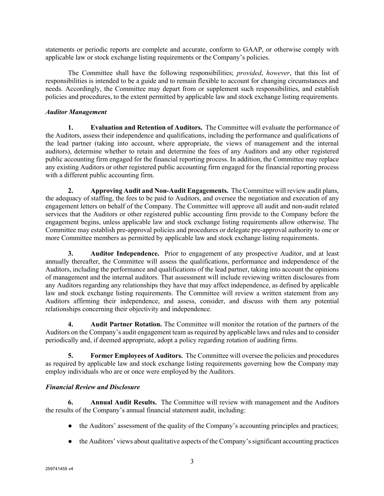statements or periodic reports are complete and accurate, conform to GAAP, or otherwise comply with applicable law or stock exchange listing requirements or the Company's policies.

The Committee shall have the following responsibilities; *provided*, *however*, that this list of responsibilities is intended to be a guide and to remain flexible to account for changing circumstances and needs. Accordingly, the Committee may depart from or supplement such responsibilities, and establish policies and procedures, to the extent permitted by applicable law and stock exchange listing requirements.

# *Auditor Management*

**1. Evaluation and Retention of Auditors.** The Committee will evaluate the performance of the Auditors, assess their independence and qualifications, including the performance and qualifications of the lead partner (taking into account, where appropriate, the views of management and the internal auditors), determine whether to retain and determine the fees of any Auditors and any other registered public accounting firm engaged for the financial reporting process. In addition, the Committee may replace any existing Auditors or other registered public accounting firm engaged for the financial reporting process with a different public accounting firm.

**2. Approving Audit and Non-Audit Engagements.** The Committee will review audit plans, the adequacy of staffing, the fees to be paid to Auditors, and oversee the negotiation and execution of any engagement letters on behalf of the Company. The Committee will approve all audit and non-audit related services that the Auditors or other registered public accounting firm provide to the Company before the engagement begins, unless applicable law and stock exchange listing requirements allow otherwise. The Committee may establish pre-approval policies and procedures or delegate pre-approval authority to one or more Committee members as permitted by applicable law and stock exchange listing requirements.

**3. Auditor Independence.** Prior to engagement of any prospective Auditor, and at least annually thereafter, the Committee will assess the qualifications, performance and independence of the Auditors, including the performance and qualifications of the lead partner, taking into account the opinions of management and the internal auditors. That assessment will include reviewing written disclosures from any Auditors regarding any relationships they have that may affect independence, as defined by applicable law and stock exchange listing requirements. The Committee will review a written statement from any Auditors affirming their independence, and assess, consider, and discuss with them any potential relationships concerning their objectivity and independence.

**4. Audit Partner Rotation.** The Committee will monitor the rotation of the partners of the Auditors on the Company's audit engagement team as required by applicable laws and rules and to consider periodically and, if deemed appropriate, adopt a policy regarding rotation of auditing firms.

**5. Former Employees of Auditors.** The Committee will oversee the policies and procedures as required by applicable law and stock exchange listing requirements governing how the Company may employ individuals who are or once were employed by the Auditors.

# *Financial Review and Disclosure*

**6. Annual Audit Results.** The Committee will review with management and the Auditors the results of the Company's annual financial statement audit, including:

- the Auditors' assessment of the quality of the Company's accounting principles and practices;
- the Auditors' views about qualitative aspects of the Company's significant accounting practices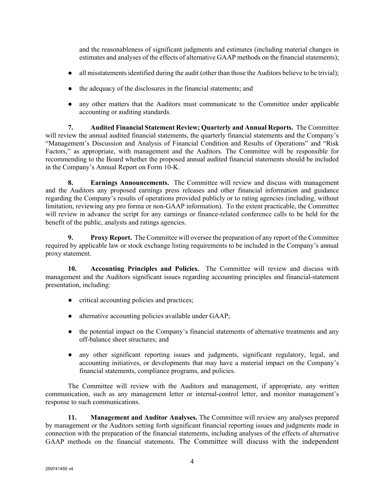and the reasonableness of significant judgments and estimates (including material changes in estimates and analyses of the effects of alternative GAAP methods on the financial statements);

- all misstatements identified during the audit (other than those the Auditors believe to be trivial);
- the adequacy of the disclosures in the financial statements; and
- any other matters that the Auditors must communicate to the Committee under applicable accounting or auditing standards.

**7. Audited Financial Statement Review; Quarterly and Annual Reports.** The Committee will review the annual audited financial statements, the quarterly financial statements and the Company's "Management's Discussion and Analysis of Financial Condition and Results of Operations" and "Risk Factors," as appropriate, with management and the Auditors. The Committee will be responsible for recommending to the Board whether the proposed annual audited financial statements should be included in the Company's Annual Report on Form 10-K.

**8. Earnings Announcements.** The Committee will review and discuss with management and the Auditors any proposed earnings press releases and other financial information and guidance regarding the Company's results of operations provided publicly or to rating agencies (including, without limitation, reviewing any pro forma or non-GAAP information). To the extent practicable, the Committee will review in advance the script for any earnings or finance-related conference calls to be held for the benefit of the public, analysts and ratings agencies.

**9. Proxy Report.** The Committee will oversee the preparation of any report of the Committee required by applicable law or stock exchange listing requirements to be included in the Company's annual proxy statement.

**10. Accounting Principles and Policies.** The Committee will review and discuss with management and the Auditors significant issues regarding accounting principles and financial-statement presentation, including:

- critical accounting policies and practices;
- alternative accounting policies available under GAAP;
- the potential impact on the Company's financial statements of alternative treatments and any off-balance sheet structures; and
- any other significant reporting issues and judgments, significant regulatory, legal, and accounting initiatives, or developments that may have a material impact on the Company's financial statements, compliance programs, and policies.

The Committee will review with the Auditors and management, if appropriate, any written communication, such as any management letter or internal-control letter, and monitor management's response to such communications.

**11. Management and Auditor Analyses.** The Committee will review any analyses prepared by management or the Auditors setting forth significant financial reporting issues and judgments made in connection with the preparation of the financial statements, including analyses of the effects of alternative GAAP methods on the financial statements. The Committee will discuss with the independent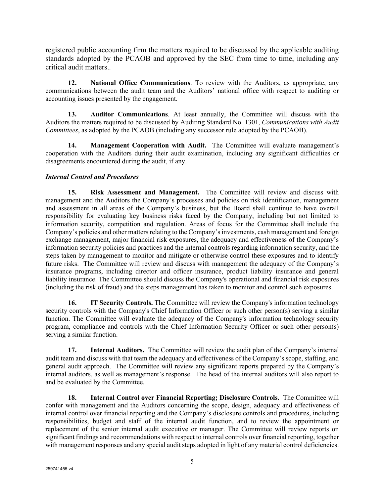registered public accounting firm the matters required to be discussed by the applicable auditing standards adopted by the PCAOB and approved by the SEC from time to time, including any critical audit matters..

**12. National Office Communications**. To review with the Auditors, as appropriate, any communications between the audit team and the Auditors' national office with respect to auditing or accounting issues presented by the engagement.

**13. Auditor Communications**. At least annually, the Committee will discuss with the Auditors the matters required to be discussed by Auditing Standard No. 1301, *Communications with Audit Committees*, as adopted by the PCAOB (including any successor rule adopted by the PCAOB).

**14. Management Cooperation with Audit.** The Committee will evaluate management's cooperation with the Auditors during their audit examination, including any significant difficulties or disagreements encountered during the audit, if any.

# *Internal Control and Procedures*

**15. Risk Assessment and Management.** The Committee will review and discuss with management and the Auditors the Company's processes and policies on risk identification, management and assessment in all areas of the Company's business, but the Board shall continue to have overall responsibility for evaluating key business risks faced by the Company, including but not limited to information security, competition and regulation. Areas of focus for the Committee shall include the Company's policies and other matters relating to the Company's investments, cash management and foreign exchange management, major financial risk exposures, the adequacy and effectiveness of the Company's information security policies and practices and the internal controls regarding information security, and the steps taken by management to monitor and mitigate or otherwise control these exposures and to identify future risks. The Committee will review and discuss with management the adequacy of the Company's insurance programs, including director and officer insurance, product liability insurance and general liability insurance. The Committee should discuss the Company's operational and financial risk exposures (including the risk of fraud) and the steps management has taken to monitor and control such exposures.

**16. IT Security Controls.** The Committee will review the Company's information technology security controls with the Company's Chief Information Officer or such other person(s) serving a similar function. The Committee will evaluate the adequacy of the Company's information technology security program, compliance and controls with the Chief Information Security Officer or such other person(s) serving a similar function.

**17. Internal Auditors.** The Committee will review the audit plan of the Company's internal audit team and discuss with that team the adequacy and effectiveness of the Company's scope, staffing, and general audit approach. The Committee will review any significant reports prepared by the Company's internal auditors, as well as management's response. The head of the internal auditors will also report to and be evaluated by the Committee.

**18. Internal Control over Financial Reporting; Disclosure Controls.** The Committee will confer with management and the Auditors concerning the scope, design, adequacy and effectiveness of internal control over financial reporting and the Company's disclosure controls and procedures, including responsibilities, budget and staff of the internal audit function, and to review the appointment or replacement of the senior internal audit executive or manager. The Committee will review reports on significant findings and recommendations with respect to internal controls over financial reporting, together with management responses and any special audit steps adopted in light of any material control deficiencies.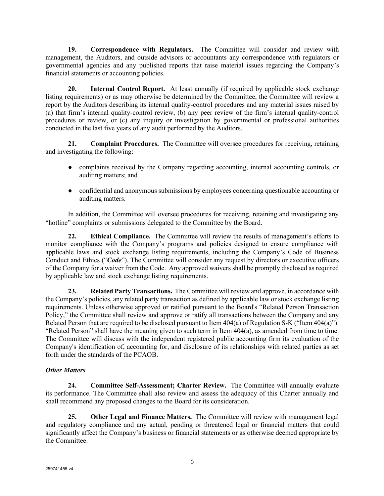**19. Correspondence with Regulators.** The Committee will consider and review with management, the Auditors, and outside advisors or accountants any correspondence with regulators or governmental agencies and any published reports that raise material issues regarding the Company's financial statements or accounting policies.

**20. Internal Control Report.** At least annually (if required by applicable stock exchange listing requirements) or as may otherwise be determined by the Committee, the Committee will review a report by the Auditors describing its internal quality-control procedures and any material issues raised by (a) that firm's internal quality-control review, (b) any peer review of the firm's internal quality-control procedures or review, or (c) any inquiry or investigation by governmental or professional authorities conducted in the last five years of any audit performed by the Auditors.

**21. Complaint Procedures.** The Committee will oversee procedures for receiving, retaining and investigating the following:

- complaints received by the Company regarding accounting, internal accounting controls, or auditing matters; and
- confidential and anonymous submissions by employees concerning questionable accounting or auditing matters.

In addition, the Committee will oversee procedures for receiving, retaining and investigating any "hotline" complaints or submissions delegated to the Committee by the Board.

**22. Ethical Compliance.** The Committee will review the results of management's efforts to monitor compliance with the Company's programs and policies designed to ensure compliance with applicable laws and stock exchange listing requirements, including the Company's Code of Business Conduct and Ethics ("*Code*"). The Committee will consider any request by directors or executive officers of the Company for a waiver from the Code. Any approved waivers shall be promptly disclosed as required by applicable law and stock exchange listing requirements.

**23. Related Party Transactions.** The Committee will review and approve, in accordance with the Company's policies, any related party transaction as defined by applicable law or stock exchange listing requirements. Unless otherwise approved or ratified pursuant to the Board's "Related Person Transaction Policy," the Committee shall review and approve or ratify all transactions between the Company and any Related Person that are required to be disclosed pursuant to Item 404(a) of Regulation S-K ("Item 404(a)"). "Related Person" shall have the meaning given to such term in Item 404(a), as amended from time to time. The Committee will discuss with the independent registered public accounting firm its evaluation of the Company's identification of, accounting for, and disclosure of its relationships with related parties as set forth under the standards of the PCAOB.

# *Other Matters*

**24. Committee Self-Assessment; Charter Review.** The Committee will annually evaluate its performance. The Committee shall also review and assess the adequacy of this Charter annually and shall recommend any proposed changes to the Board for its consideration.

**25. Other Legal and Finance Matters.** The Committee will review with management legal and regulatory compliance and any actual, pending or threatened legal or financial matters that could significantly affect the Company's business or financial statements or as otherwise deemed appropriate by the Committee.